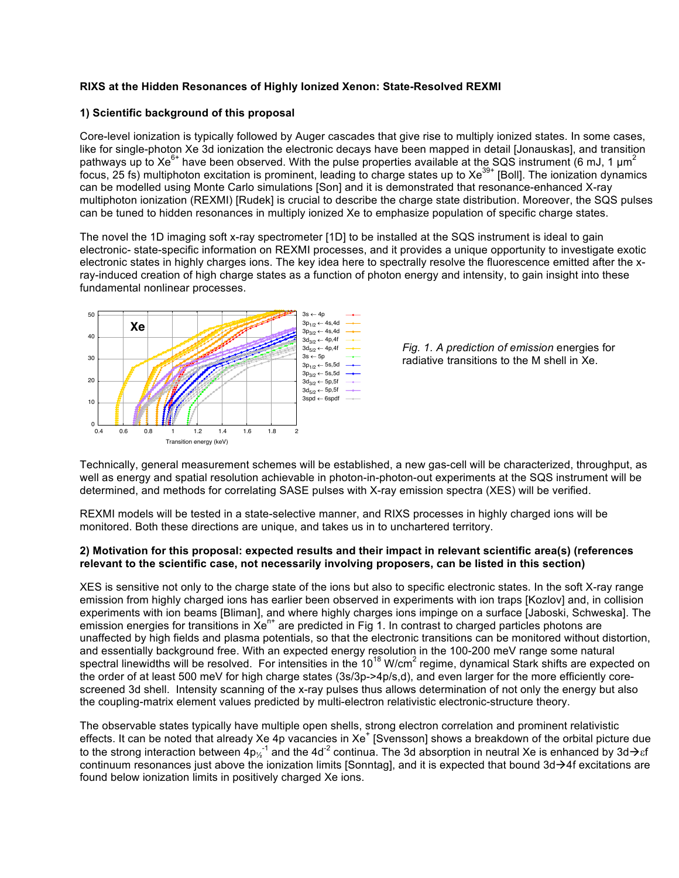# **RIXS at the Hidden Resonances of Highly Ionized Xenon: State-Resolved REXMI**

# **1) Scientific background of this proposal**

Core-level ionization is typically followed by Auger cascades that give rise to multiply ionized states. In some cases, like for single-photon Xe 3d ionization the electronic decays have been mapped in detail [Jonauskas], and transition pathways up to Xe<sup>6+</sup> have been observed. With the pulse properties available at the SQS instrument (6 mJ, 1  $\mu$ m<sup>2</sup> focus, 25 fs) multiphoton excitation is prominent, leading to charge states up to Xe<sup>39+</sup> [Boll]. The ionization dynamics can be modelled using Monte Carlo simulations [Son] and it is demonstrated that resonance-enhanced X-ray multiphoton ionization (REXMI) [Rudek] is crucial to describe the charge state distribution. Moreover, the SQS pulses can be tuned to hidden resonances in multiply ionized Xe to emphasize population of specific charge states.

The novel the 1D imaging soft x-ray spectrometer [1D] to be installed at the SQS instrument is ideal to gain electronic- state-specific information on REXMI processes, and it provides a unique opportunity to investigate exotic electronic states in highly charges ions. The key idea here to spectrally resolve the fluorescence emitted after the xray-induced creation of high charge states as a function of photon energy and intensity, to gain insight into these fundamental nonlinear processes.





Technically, general measurement schemes will be established, a new gas-cell will be characterized, throughput, as well as energy and spatial resolution achievable in photon-in-photon-out experiments at the SQS instrument will be determined, and methods for correlating SASE pulses with X-ray emission spectra (XES) will be verified.

REXMI models will be tested in a state-selective manner, and RIXS processes in highly charged ions will be monitored. Both these directions are unique, and takes us in to unchartered territory.

#### **2) Motivation for this proposal: expected results and their impact in relevant scientific area(s) (references relevant to the scientific case, not necessarily involving proposers, can be listed in this section)**

XES is sensitive not only to the charge state of the ions but also to specific electronic states. In the soft X-ray range emission from highly charged ions has earlier been observed in experiments with ion traps [Kozlov] and, in collision experiments with ion beams [Bliman], and where highly charges ions impinge on a surface [Jaboski, Schweska]. The emission energies for transitions in  $Xe^{n+}$  are predicted in Fig 1. In contrast to charged particles photons are unaffected by high fields and plasma potentials, so that the electronic transitions can be monitored without distortion, and essentially background free. With an expected energy resolution in the 100-200 meV range some natural spectral linewidths will be resolved. For intensities in the  $10^{18}$  W/cm<sup>2</sup> regime, dynamical Stark shifts are expected on the order of at least 500 meV for high charge states (3s/3p->4p/s,d), and even larger for the more efficiently corescreened 3d shell. Intensity scanning of the x-ray pulses thus allows determination of not only the energy but also the coupling-matrix element values predicted by multi-electron relativistic electronic-structure theory.

The observable states typically have multiple open shells, strong electron correlation and prominent relativistic effects. It can be noted that already Xe 4p vacancies in Xe<sup>+</sup> [Svensson] shows a breakdown of the orbital picture due to the strong interaction between  $4p_2^{-1}$  and the 4d<sup>-2</sup> continua. The 3d absorption in neutral Xe is enhanced by 3d $\to$ sf continuum resonances just above the ionization limits [Sonntag], and it is expected that bound  $3d\rightarrow 4f$  excitations are found below ionization limits in positively charged Xe ions.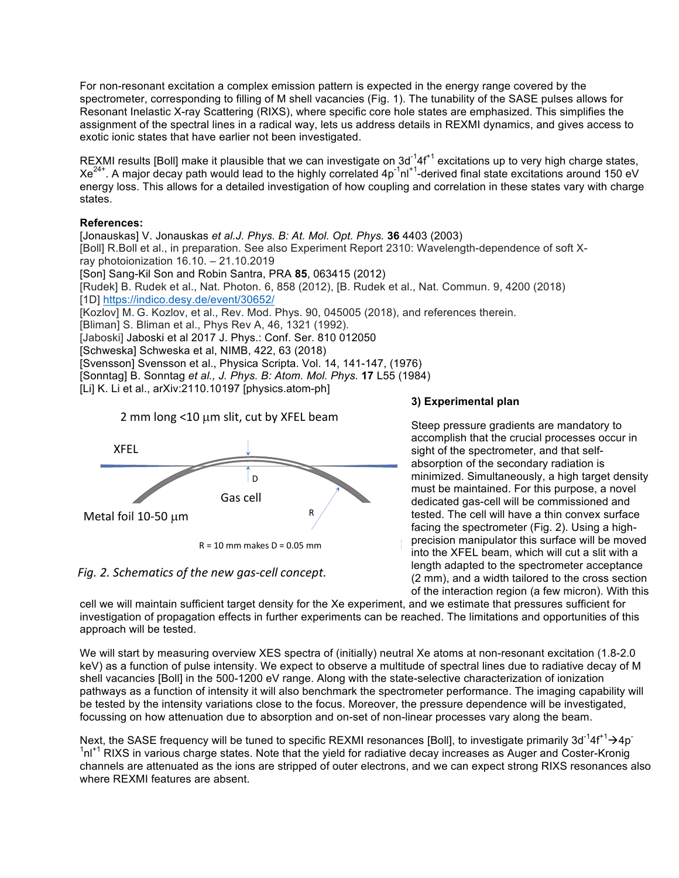For non-resonant excitation a complex emission pattern is expected in the energy range covered by the spectrometer, corresponding to filling of M shell vacancies (Fig. 1). The tunability of the SASE pulses allows for Resonant Inelastic X-ray Scattering (RIXS), where specific core hole states are emphasized. This simplifies the assignment of the spectral lines in a radical way, lets us address details in REXMI dynamics, and gives access to exotic ionic states that have earlier not been investigated.

REXMI results [Boll] make it plausible that we can investigate on  $3d^{-1}4f^{+1}$  excitations up to very high charge states,  $Xe^{24}$ . A major decay path would lead to the highly correlated  $4p^{-1}n^{1+1}$ -derived final state excitations around 150 eV energy loss. This allows for a detailed investigation of how coupling and correlation in these states vary with charge states.

# **References:**

[Jonauskas] V. Jonauskas *et al.J. Phys. B: At. Mol. Opt. Phys.* **36** 4403 (2003) [Boll] R.Boll et al., in preparation. See also Experiment Report 2310: Wavelength-dependence of soft Xray photoionization 16.10. – 21.10.2019 [Son] Sang-Kil Son and Robin Santra, PRA **85**, 063415 (2012) [Rudek] B. Rudek et al., Nat. Photon. 6, 858 (2012), [B. Rudek et al., Nat. Commun. 9, 4200 (2018) [1D] https://indico.desy.de/event/30652/ [Kozlov] M. G. Kozlov, et al., Rev. Mod. Phys. 90, 045005 (2018), and references therein. [Bliman] S. Bliman et al., Phys Rev A, 46, 1321 (1992). [Jaboski] Jaboski et al 2017 J. Phys.: Conf. Ser. 810 012050 [Schweska] Schweska et al, NIMB, 422, 63 (2018)

[Svensson] Svensson et al., Physica Scripta. Vol. 14, 141-147, (1976)

[Sonntag] B. Sonntag *et al., J. Phys. B: Atom. Mol. Phys.* **17** L55 (1984)

[Li] K. Li et al., arXiv:2110.10197 [physics.atom-ph]



2 mm long <10 µm slit, cut by XFEL beam

# Fig. 2. Schematics of the new gas-cell concept.

# **3) Experimental plan**

Steep pressure gradients are mandatory to accomplish that the crucial processes occur in sight of the spectrometer, and that selfabsorption of the secondary radiation is minimized. Simultaneously, a high target density must be maintained. For this purpose, a novel dedicated gas-cell will be commissioned and tested. The cell will have a thin convex surface facing the spectrometer (Fig. 2). Using a highprecision manipulator this surface will be moved into the XFEL beam, which will cut a slit with a length adapted to the spectrometer acceptance (2 mm), and a width tailored to the cross section of the interaction region (a few micron). With this

cell we will maintain sufficient target density for the Xe experiment, and we estimate that pressures sufficient for investigation of propagation effects in further experiments can be reached. The limitations and opportunities of this approach will be tested.

We will start by measuring overview XES spectra of (initially) neutral Xe atoms at non-resonant excitation (1.8-2.0 keV) as a function of pulse intensity. We expect to observe a multitude of spectral lines due to radiative decay of M shell vacancies [Boll] in the 500-1200 eV range. Along with the state-selective characterization of ionization pathways as a function of intensity it will also benchmark the spectrometer performance. The imaging capability will be tested by the intensity variations close to the focus. Moreover, the pressure dependence will be investigated, focussing on how attenuation due to absorption and on-set of non-linear processes vary along the beam.

Next, the SASE frequency will be tuned to specific REXMI resonances [Boll], to investigate primarily 3d<sup>-1</sup>4f<sup>+1</sup> $\rightarrow$ 4p<sup>-</sup> <sup>1</sup>nl<sup>+1</sup> RIXS in various charge states. Note that the yield for radiative decay increases as Auger and Coster-Kronig channels are attenuated as the ions are stripped of outer electrons, and we can expect strong RIXS resonances also where REXMI features are absent.